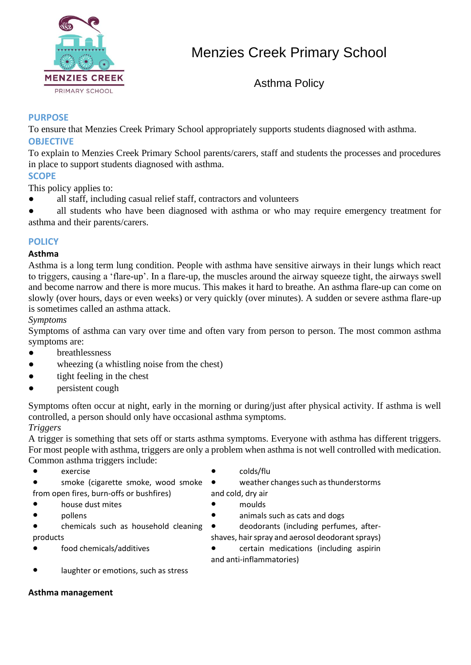

Asthma Policy

# **PURPOSE**

To ensure that Menzies Creek Primary School appropriately supports students diagnosed with asthma. **OBJECTIVE**

To explain to Menzies Creek Primary School parents/carers, staff and students the processes and procedures in place to support students diagnosed with asthma.

# **SCOPE**

This policy applies to:

all staff, including casual relief staff, contractors and volunteers

all students who have been diagnosed with asthma or who may require emergency treatment for asthma and their parents/carers.

# **POLICY**

# **Asthma**

Asthma is a long term lung condition. People with asthma have sensitive airways in their lungs which react to triggers, causing a 'flare-up'. In a flare-up, the muscles around the airway squeeze tight, the airways swell and become narrow and there is more mucus. This makes it hard to breathe. An asthma flare-up can come on slowly (over hours, days or even weeks) or very quickly (over minutes). A sudden or severe asthma flare-up is sometimes called an asthma attack.

### *Symptoms*

Symptoms of asthma can vary over time and often vary from person to person. The most common asthma symptoms are:

- breathlessness
- wheezing (a whistling noise from the chest)
- tight feeling in the chest
- persistent cough

Symptoms often occur at night, early in the morning or during/just after physical activity. If asthma is well controlled, a person should only have occasional asthma symptoms. *Triggers*

A trigger is something that sets off or starts asthma symptoms. Everyone with asthma has different triggers. For most people with asthma, triggers are only a problem when asthma is not well controlled with medication. Common asthma triggers include:

- exercise colds/flu
- smoke (cigarette smoke, wood smoke from open fires, burn-offs or bushfires)
- house dust mites **exercise and the moulds**
- 
- chemicals such as household cleaning products
- 

weather changes such as thunderstorms and cold, dry air

- 
- pollens **be a** pollens animals such as cats and dogs

● deodorants (including perfumes, aftershaves, hair spray and aerosol deodorant sprays)

- food chemicals/additives <br>
certain medications (including aspirin and anti-inflammatories)
- laughter or emotions, such as stress

### **Asthma management**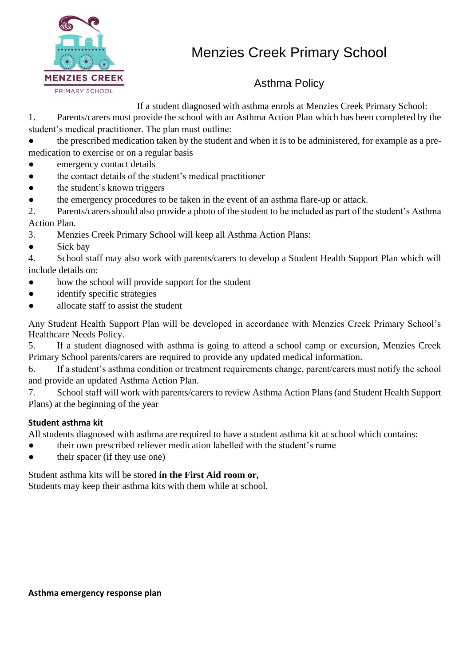

# Asthma Policy

If a student diagnosed with asthma enrols at Menzies Creek Primary School:

1. Parents/carers must provide the school with an Asthma Action Plan which has been completed by the student's medical practitioner. The plan must outline:

the prescribed medication taken by the student and when it is to be administered, for example as a premedication to exercise or on a regular basis

- emergency contact details
- the contact details of the student's medical practitioner
- the student's known triggers
- the emergency procedures to be taken in the event of an asthma flare-up or attack.

2. Parents/carers should also provide a photo of the student to be included as part of the student's Asthma Action Plan.

- 3. Menzies Creek Primary School will keep all Asthma Action Plans:
- Sick bay

4. School staff may also work with parents/carers to develop a Student Health Support Plan which will include details on:

- how the school will provide support for the student
- identify specific strategies
- allocate staff to assist the student

Any Student Health Support Plan will be developed in accordance with Menzies Creek Primary School's Healthcare Needs Policy.

5. If a student diagnosed with asthma is going to attend a school camp or excursion, Menzies Creek Primary School parents/carers are required to provide any updated medical information.

6. If a student's asthma condition or treatment requirements change, parent/carers must notify the school and provide an updated Asthma Action Plan.

7. School staff will work with parents/carers to review Asthma Action Plans (and Student Health Support Plans) at the beginning of the year

# **Student asthma kit**

All students diagnosed with asthma are required to have a student asthma kit at school which contains:

- their own prescribed reliever medication labelled with the student's name
- their spacer (if they use one)

Student asthma kits will be stored **in the First Aid room or,**

Students may keep their asthma kits with them while at school.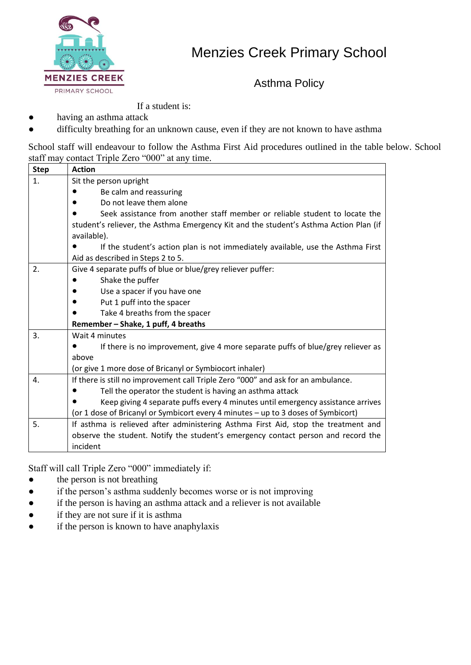

Asthma Policy

If a student is:

- having an asthma attack
- difficulty breathing for an unknown cause, even if they are not known to have asthma

School staff will endeavour to follow the Asthma First Aid procedures outlined in the table below. School staff may contact Triple Zero "000" at any time.

| <b>Step</b>    | <b>Action</b>                                                                         |  |  |  |  |  |
|----------------|---------------------------------------------------------------------------------------|--|--|--|--|--|
| $\mathbf{1}$ . | Sit the person upright                                                                |  |  |  |  |  |
|                | Be calm and reassuring                                                                |  |  |  |  |  |
|                | Do not leave them alone                                                               |  |  |  |  |  |
|                | Seek assistance from another staff member or reliable student to locate the           |  |  |  |  |  |
|                | student's reliever, the Asthma Emergency Kit and the student's Asthma Action Plan (if |  |  |  |  |  |
|                | available).                                                                           |  |  |  |  |  |
|                | If the student's action plan is not immediately available, use the Asthma First       |  |  |  |  |  |
|                | Aid as described in Steps 2 to 5.                                                     |  |  |  |  |  |
| 2.             | Give 4 separate puffs of blue or blue/grey reliever puffer:                           |  |  |  |  |  |
|                | Shake the puffer                                                                      |  |  |  |  |  |
|                | Use a spacer if you have one                                                          |  |  |  |  |  |
|                | Put 1 puff into the spacer<br>$\bullet$                                               |  |  |  |  |  |
|                | Take 4 breaths from the spacer                                                        |  |  |  |  |  |
|                | Remember - Shake, 1 puff, 4 breaths                                                   |  |  |  |  |  |
| 3.             | Wait 4 minutes                                                                        |  |  |  |  |  |
|                | If there is no improvement, give 4 more separate puffs of blue/grey reliever as       |  |  |  |  |  |
|                | above                                                                                 |  |  |  |  |  |
|                | (or give 1 more dose of Bricanyl or Symbiocort inhaler)                               |  |  |  |  |  |
| 4.             | If there is still no improvement call Triple Zero "000" and ask for an ambulance.     |  |  |  |  |  |
|                | Tell the operator the student is having an asthma attack                              |  |  |  |  |  |
|                | Keep giving 4 separate puffs every 4 minutes until emergency assistance arrives       |  |  |  |  |  |
|                | (or 1 dose of Bricanyl or Symbicort every 4 minutes - up to 3 doses of Symbicort)     |  |  |  |  |  |
| 5.             | If asthma is relieved after administering Asthma First Aid, stop the treatment and    |  |  |  |  |  |
|                | observe the student. Notify the student's emergency contact person and record the     |  |  |  |  |  |
|                | incident                                                                              |  |  |  |  |  |

Staff will call Triple Zero "000" immediately if:

- the person is not breathing
- if the person's asthma suddenly becomes worse or is not improving
- if the person is having an asthma attack and a reliever is not available
- if they are not sure if it is asthma
- if the person is known to have anaphylaxis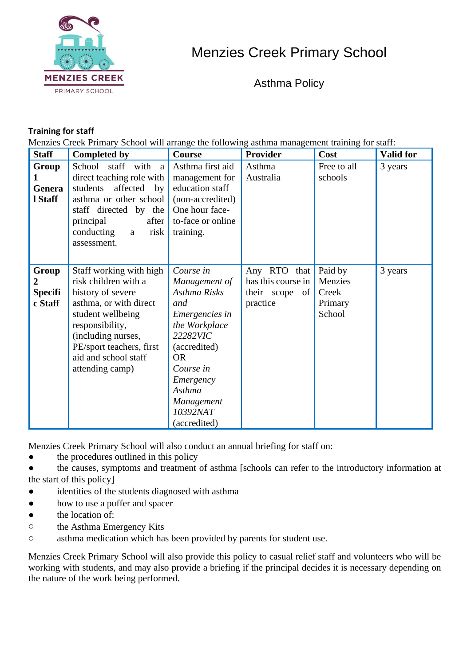

Asthma Policy

# **Training for staff**

Menzies Creek Primary School will arrange the following asthma management training for staff:

| <b>Staff</b>                            | <b>Completed by</b>                                                                                                                                                                                                                 | <b>Course</b>                                                                                                                                                                                               | <b>Provider</b>                                                             | Cost                                             | <b>Valid for</b> |
|-----------------------------------------|-------------------------------------------------------------------------------------------------------------------------------------------------------------------------------------------------------------------------------------|-------------------------------------------------------------------------------------------------------------------------------------------------------------------------------------------------------------|-----------------------------------------------------------------------------|--------------------------------------------------|------------------|
| Group<br>Genera<br>1 Staff              | School staff with<br>a<br>direct teaching role with<br>affected<br>students<br>by<br>asthma or other school<br>staff directed by the<br>principal<br>after<br>conducting<br>risk<br>a<br>assessment.                                | Asthma first aid<br>management for<br>education staff<br>(non-accredited)<br>One hour face-<br>to-face or online<br>training.                                                                               | Asthma<br>Australia                                                         | Free to all<br>schools                           | 3 years          |
| Group<br>2<br><b>Specifi</b><br>c Staff | Staff working with high<br>risk children with a<br>history of severe<br>asthma, or with direct<br>student wellbeing<br>responsibility,<br>(including nurses,<br>PE/sport teachers, first<br>aid and school staff<br>attending camp) | Course in<br>Management of<br>Asthma Risks<br>and<br>Emergencies in<br>the Workplace<br>22282VIC<br>(accredited)<br><b>OR</b><br>Course in<br>Emergency<br>Asthma<br>Management<br>10392NAT<br>(accredited) | Any RTO<br>that $\vert$<br>has this course in<br>their scope of<br>practice | Paid by<br>Menzies<br>Creek<br>Primary<br>School | 3 years          |

Menzies Creek Primary School will also conduct an annual briefing for staff on:

• the procedures outlined in this policy

the causes, symptoms and treatment of asthma [schools can refer to the introductory information at the start of this policy]

- identities of the students diagnosed with asthma
- how to use a puffer and spacer
- the location of:
- o the Asthma Emergency Kits
- o asthma medication which has been provided by parents for student use.

Menzies Creek Primary School will also provide this policy to casual relief staff and volunteers who will be working with students, and may also provide a briefing if the principal decides it is necessary depending on the nature of the work being performed.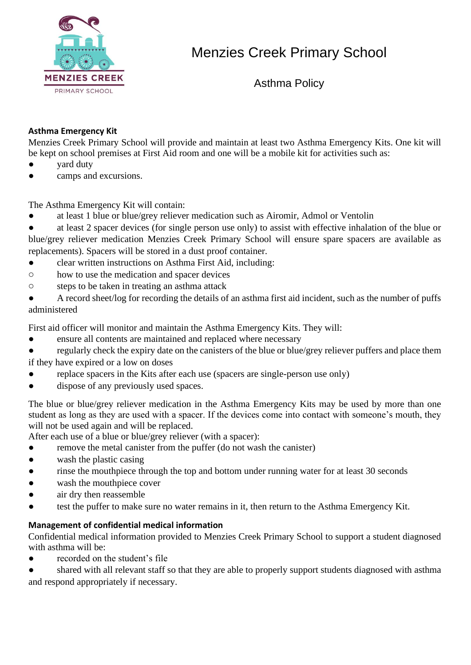

Asthma Policy

# **Asthma Emergency Kit**

Menzies Creek Primary School will provide and maintain at least two Asthma Emergency Kits. One kit will be kept on school premises at First Aid room and one will be a mobile kit for activities such as:

- yard duty
- camps and excursions.

The Asthma Emergency Kit will contain:

- at least 1 blue or blue/grey reliever medication such as Airomir, Admol or Ventolin
- at least 2 spacer devices (for single person use only) to assist with effective inhalation of the blue or blue/grey reliever medication Menzies Creek Primary School will ensure spare spacers are available as replacements). Spacers will be stored in a dust proof container.
- clear written instructions on Asthma First Aid, including:
- o how to use the medication and spacer devices
- o steps to be taken in treating an asthma attack
- A record sheet/log for recording the details of an asthma first aid incident, such as the number of puffs administered

First aid officer will monitor and maintain the Asthma Emergency Kits. They will:

- ensure all contents are maintained and replaced where necessary
- regularly check the expiry date on the canisters of the blue or blue/grey reliever puffers and place them if they have expired or a low on doses
- replace spacers in the Kits after each use (spacers are single-person use only)
- dispose of any previously used spaces.

The blue or blue/grey reliever medication in the Asthma Emergency Kits may be used by more than one student as long as they are used with a spacer. If the devices come into contact with someone's mouth, they will not be used again and will be replaced.

After each use of a blue or blue/grey reliever (with a spacer):

- remove the metal canister from the puffer (do not wash the canister)
- wash the plastic casing
- rinse the mouthpiece through the top and bottom under running water for at least 30 seconds
- wash the mouthpiece cover
- air dry then reassemble
- test the puffer to make sure no water remains in it, then return to the Asthma Emergency Kit.

# **Management of confidential medical information**

Confidential medical information provided to Menzies Creek Primary School to support a student diagnosed with asthma will be:

recorded on the student's file

shared with all relevant staff so that they are able to properly support students diagnosed with asthma and respond appropriately if necessary.